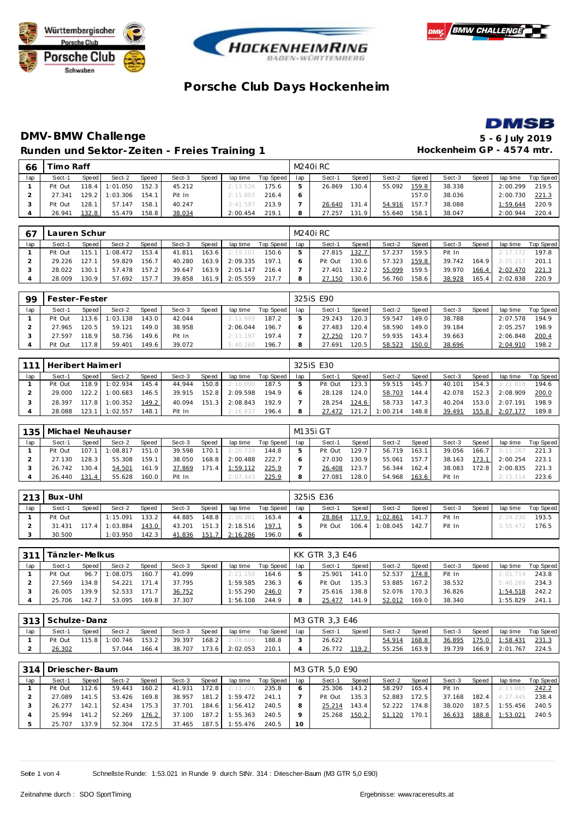







## **DMV-BMW Challenge 5 - 6 July 2019** Runden und Sektor-Zeiten - Freies Training 1 **Hockenheim GP** - 4574 mtr.

| 66  | īmo Raff |       |          |        |        |              |          |           |     | M240i RC |                       |        |       |        |       |          |           |
|-----|----------|-------|----------|--------|--------|--------------|----------|-----------|-----|----------|-----------------------|--------|-------|--------|-------|----------|-----------|
| lap | Sect-1   | Speed | Sect-2   | Speed  | Sect-3 | <b>Speed</b> | lap time | Top Speed | lap | Sect-1   | Speed                 | Sect-2 | Speed | Sect-3 | Speed | lap time | Top Speed |
|     | Pit Out  | 118.4 | : 01.050 | 152.3  | 45.212 |              | 2:13.526 | 175.6     |     | 26.869   | 30.4                  | 55.092 | 159.8 | 38.338 |       | 2:00.299 | 219.5     |
|     | 27.341   | 129.2 | : 03.306 | 154.1  | Pit In |              | 2:15.803 | 216.4     |     |          |                       |        | 157.0 | 38.036 |       | 2:00.730 | 221.3     |
|     | Pit Out  | 128.1 | 57.147   | 158.1  | 40.247 |              | 3:41.597 | 213.9     |     | 26.640   | 131<br>$\overline{A}$ | 54.916 | 157.7 | 38.088 |       | 1:59.644 | 220.9     |
|     | 26.941   | 132.8 | 55.479   | 158.81 | 38.034 |              | 2:00.454 | 219.1     |     | 27.257   | $\Omega$<br>131       | 55.640 | 158.1 | 38.047 |       | 2:00.944 | 220.4     |

| 67  | Lauren Schur |       |                |       |              |       |          |           |     | M240i RC |       |              |       |        |       |                |           |
|-----|--------------|-------|----------------|-------|--------------|-------|----------|-----------|-----|----------|-------|--------------|-------|--------|-------|----------------|-----------|
| lap | Sect-1       | Speed | Sect-2         | Speed | Sect-3       | Speed | lap time | Top Speed | lap | Sect-1   | Speed | Sect-2       | Speed | Sect-3 | Speed | lap time       | Top Speed |
|     | Pit Out      |       | 115.1 1:08.472 | 153.4 | 41.811       | 163.6 | 2:19.101 | 150.6     | 5   | 27.815   | 132.7 | 57.237       | 159.5 | Pit In |       | 2:17.172 197.8 |           |
|     | 29.226       | 127.1 | 59.829         | 156.7 | 40.280       | 163.9 | 2:09.335 | 197.1     |     | Pit Out  | 130.6 | 57.323       | 159.8 | 39.742 | 164.9 | 3:25.217       | 201.1     |
|     | 28.022       | 130.1 | 57.478         | 157.2 | 39.647       | 163.9 | 2:05.147 | 216.4     |     | 27.401   | 132.2 | 55.099       | 159.5 | 39.970 | 166.4 | 2:02.470       | 221.3     |
|     | 28.009       | 130.9 | 57.692         | 157.7 | 39.858 161.9 |       | 2:05.559 | 217.7     | 8   | 27.150   | 130.6 | 56.760 158.6 |       | 38.928 | 165.4 | 2:02.838       | 220.9     |

| 99  | Fester-Fester |       |          |       |        |       |          |           |     | 325 SE90 |       |        |       |        |       |          |           |
|-----|---------------|-------|----------|-------|--------|-------|----------|-----------|-----|----------|-------|--------|-------|--------|-------|----------|-----------|
| lap | Sect-1        | Speed | Sect-2   | Speed | Sect-3 | Speed | lap time | Top Speed | lap | Sect-1   | Speed | Sect-2 | Speed | Sect-3 | Speed | lap time | Top Speed |
|     | Pit Out       | 113.6 | 1:03.138 | 143.0 | 42.044 |       | 2:11.909 | 187.2     |     | 29.243   | 120.3 | 59.547 | 149.0 | 38.788 |       | 2:07.578 | 194.9     |
|     | 27.965        | 120.5 | 59.121   | 149.0 | 38.958 |       | 2:06.044 | 196.7     |     | 27.483   | 120.4 | 58.590 | 149.0 | 39.184 |       | 2:05.257 | 198.9     |
|     | 27.597        | 118.9 | 58.736   | 149.6 | Pit In |       | 2:11.197 | 197.4     |     | 27.250   | 120.7 | 59.935 | 143.4 | 39.663 |       | 2:06.848 | 200.4     |
|     | Pit Out       | 17.8  | 59.401   | 149.6 | 39.072 |       | 5:40.260 | 196.7     |     | 27.691   | 120.5 | 58.523 | 150.0 | 38.696 |       | 2:04.910 | 198.2     |

| 1111 | Heribert Haimerl |         |          |       |        |       |          |           |     | 325 iS E30 |         |          |       |        |       |          |           |
|------|------------------|---------|----------|-------|--------|-------|----------|-----------|-----|------------|---------|----------|-------|--------|-------|----------|-----------|
| lap  | Sect-1           | Speed I | Sect-2   | Speed | Sect-3 | Speed | lap time | Top Speed | lap | Sect-1     | Speed   | Sect-2   | Speed | Sect-3 | Speed | lap time | Top Speed |
|      | Pit Out          | 118.9   | 1:02.934 | 145.4 | 44.944 | 150.8 | 2:16.090 | 187.5     |     | Pit Out    | 123.3   | 59.515   | 145.7 | 40.101 | 154.3 | 3:21.818 | 194.6     |
|      | 29.000           | 122.2   | 1:00.683 | 146.5 | 39.915 | 152.8 | 2:09.598 | 194.9     |     | 28.128     | 124.0   | 58.703   | 144.4 | 42.078 | 152.3 | 2:08.909 | 200.0     |
|      | 28.397           | 117.8   | 1:00.352 | 149.2 | 40.094 | 151.3 | 2:08.843 | 192.9     |     | 28.254     | 124.6   | 58.733   | 147.3 | 40.204 | 153.0 | 2:07.191 | 198.9     |
|      | 28.088           | 123.    | : 02.557 | 148.1 | Pit In |       | 2:16.837 | 196.4     |     | 27.472     | 121.2 l | 1:00.214 | 148.8 | 39.491 | 155.8 | 2:07.177 | 189.8     |

| 135 | Michael Neuhauser |           |          |       |        |       |          |           |     | M135i GT |       |        |       |        |       |          |           |
|-----|-------------------|-----------|----------|-------|--------|-------|----------|-----------|-----|----------|-------|--------|-------|--------|-------|----------|-----------|
| lap | Sect-1            | Speed     | Sect-2   | Speed | Sect-3 | Speed | lap time | Top Speed | lap | Sect-1   | Speed | Sect-2 | Speed | Sect-3 | Speed | lap time | Top Speed |
|     | Pit Out           | $107.1$ 1 | : 08.817 | 151.0 | 39.598 | 170.1 | 2:20.739 | 144.8     |     | Pit Out  | 129.7 | 56.719 | 163.1 | 39.056 | 166.7 | 3:11.267 | 221.3     |
|     | 27.130            | 128.3     | 55.308   | 159.1 | 38.050 | 168.8 | 2:00.488 | 222.7     |     | 27.030   | 130.9 | 55.061 | 157.7 | 38.163 | 173.1 | 2:00.254 | 223.1     |
|     | 26.742            | 130.4     | 54.501   | 161.9 | 37.869 | 171.4 | 1:59.112 | 225.9     |     | 26.408   | 123.7 | 56.344 | 162.4 | 38.083 | 172.8 | 2:00.835 | 221.3     |
|     | 26.440            | 131.4     | 55.628   | 160.0 | Pit In |       | 2:07.443 | 225.9     |     | 27.081   | 128.0 | 54.968 | 163.6 | Pit In |       | 2:15.114 | 223.6     |

| 213 | Bux-Uhl |       |          |                    |        |       |          |           |     | 325iS E36 |       |                |       |        |       |          |                  |
|-----|---------|-------|----------|--------------------|--------|-------|----------|-----------|-----|-----------|-------|----------------|-------|--------|-------|----------|------------------|
| lap | Sect-1  | Speed | Sect-2   | Speed              | Sect-3 | Speed | lap time | Top Speed | lap | Sect-1    | Speed | Sect-2         | Speed | Sect-3 | Speed | lap time | <b>Top Speed</b> |
|     | Pit Out |       | 1:15.091 | 133.2 <sub>1</sub> | 44.885 | 148.8 | 2:30.381 | 163.4     |     | 28.864    |       | 117.9 1:02.861 | 141.7 | Pit In |       | 2:24.230 | 193.5            |
|     | 31.431  | 1174  | 1:03.884 | 143.0              | 43.201 | 151.3 | 2:18.516 | 197.1     |     | Pit Out   | 106.4 | 1:08.045       | 142.7 | Pit In |       | 3:55.472 | 176.5            |
|     | 30.500  |       | 1:03.950 | 142.3              | 41.836 | 151.7 | 2:16.286 | 196.0     |     |           |       |                |       |        |       |          |                  |

| 311 | Tänzler-Melkus |       |          |       |        |       |          |           |     | KK GTR 3.3 E46 |        |        |         |        |       |          |           |
|-----|----------------|-------|----------|-------|--------|-------|----------|-----------|-----|----------------|--------|--------|---------|--------|-------|----------|-----------|
| lap | Sect-1         | Speed | Sect-2   | Speed | Sect-3 | Speed | lap time | Top Speed | lap | Sect-1         | Speed  | Sect-2 | Speed   | Sect-3 | Speed | lap time | Top Speed |
|     | Pit Out        | 96.   | 1:08.075 | 160.7 | 41.099 |       | 2:21.150 | 164.6     |     | 25.901         | 141.0  | 52.537 | 174.8   | Pit In |       | 2:01.714 | 243.8     |
|     | 27.569         | 134.8 | 54.221   | 171.4 | 37.795 |       | 1:59.585 | 236.3     |     | Pit Out        | 135.31 | 53.885 | 167.2   | 38.532 |       | 5:40.269 | 234.3     |
|     | 26.005         | 139.9 | 52.533   | 171.7 | 36.752 |       | 1:55.290 | 246.0     |     | 25.616         | 138.8  | 52.076 | 170.3   | 36.826 |       | 1:54.518 | 242.2     |
|     | 25.706         | 142.7 | 53.095   | 169.8 | 37.307 |       | 1:56.108 | 244.9     |     | 25.477         | 141.9  | 52.012 | 169.0 l | 38.340 |       | 1:55.829 | 241.      |

|     | 313   Schulze-Danz |                   |          |          |           |         |          |       |        | M3 GTR 3.3 E46 |        |        |          |           |       |          |       |
|-----|--------------------|-------------------|----------|----------|-----------|---------|----------|-------|--------|----------------|--------|--------|----------|-----------|-------|----------|-------|
| lap | Sect-1             | Speed  <br>Sect-2 | Sect-3   | lap time | Top Speed | lap     | Sect-1   | Speed | Sect-2 | Speed          | Sect-3 | Speed  | lap time | Top Speed |       |          |       |
|     | Pit Out            | 115.8             | 1:00.746 | 153.2    | 39.397    | $168.2$ | 2:08.600 | 188.8 |        | 26.622         |        | 54.914 | 168.8    | 36.895    | 175.0 | 1:58.431 | 231.3 |
|     | 26.302             |                   | 57.044   | 166.4    | 38.707    | 173.6   | 2:02.053 | 210.7 |        | 26.772         | 119.2  | 55.256 | 163.9    | 39.739    | 166.9 | 2:01.767 | 224.5 |

|     | 314   Driescher-Baum |       |        |                    |        |       |                  |             |     | M3 GTR 5.0 E90 |                    |        |        |        |       |          |           |
|-----|----------------------|-------|--------|--------------------|--------|-------|------------------|-------------|-----|----------------|--------------------|--------|--------|--------|-------|----------|-----------|
| lap | Sect-1               | Speed | Sect-2 | Speed              | Sect-3 | Speed | lap time         | Top Speed I | lap | Sect-1         | Speed              | Sect-2 | Speed  | Sect-3 | Speed | lap time | Top Speed |
|     | Pit Out              | 112.6 | 59.443 | 160.2              | 41.931 | 172.8 | 2:11.226         | 235.8       |     | 25.306         | 143.2 <sub>1</sub> | 58.297 | 165.4  | Pit In |       | 2:13.065 | 242.2     |
|     | 27.089               | 141.5 | 53.426 | 169.8              | 38.957 | 181.2 | 1:59.472         | 241.1       |     | Pit Out        | 135.3              | 52.883 | 172.5  | 37.168 | 182.4 | 4:27.445 | 238.4     |
|     | 26.277               | 142.1 | 52.434 | 175.3 <sub>1</sub> | 37.701 | 184.6 | 1:56.412         | 240.5       |     | 25.214         | 143.4              | 52.222 | 174.81 | 38.020 | 187.5 | : 55.456 | 240.5     |
|     | 25.994               | 141.2 | 52.269 | 176.2              | 37.100 | 187.2 | 1:55.363         | 240.5       |     | 25.268         | 150.2              | 51.120 | 170.1  | 36.633 | 188.8 | 1:53.021 | 240.5     |
|     | 25.707               | 137.9 | 52.304 | 172.5              | 37.465 | 187.5 | $\cdot$ : 55.476 | 240.5       | 10  |                |                    |        |        |        |       |          |           |

Seite 1 von 4 Schnellste Runde: 1:53.021 in Runde 9 durch StNr. 314 : Driescher-Baum (M3 GTR 5,0 E90)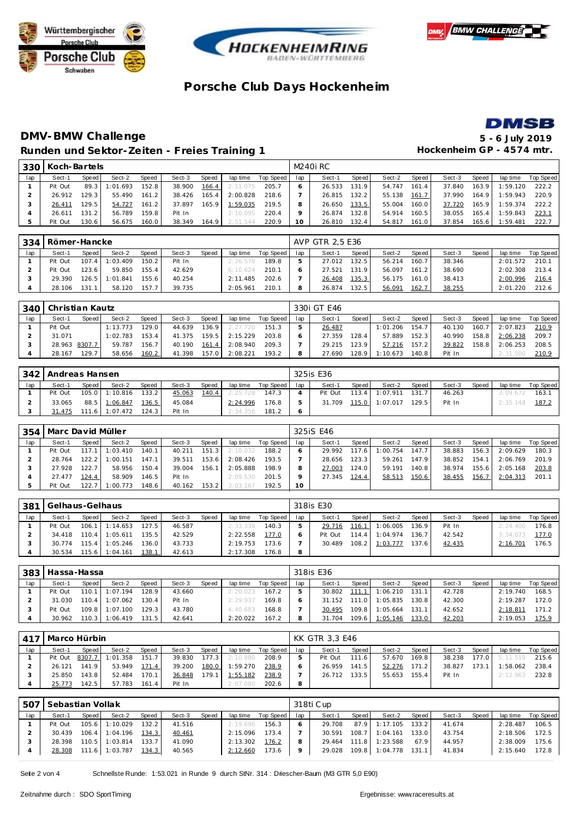







## **DMV-BMW Challenge 5 - 6 July 2019** Runden und Sektor-Zeiten - Freies Training 1 **Hockenheim GP** - 4574 mtr.

|     | 330 Koch-Bartels |       |          |       |        |        |          |           |         | M240i RC |       |        |       |        |       |          |           |
|-----|------------------|-------|----------|-------|--------|--------|----------|-----------|---------|----------|-------|--------|-------|--------|-------|----------|-----------|
| lap | Sect-1           | Speed | Sect-2   | Speed | Sect-3 | Speed  | lap time | Top Speed | lap     | Sect-1   | Speed | Sect-2 | Speed | Sect-3 | Speed | lap time | Top Speed |
|     | Pit Out          | 89.3  | 1:01.693 | 152.8 | 38.900 | 166.4  | 2:11.075 | 205.7     | 6       | 26.533   | 131.9 | 54.747 | 161.4 | 37.840 | 163.9 | 1:59.120 | 222.2     |
|     | 26.912           | 129.3 | 55.490   | 161.2 | 38.426 | 165.4  | 2:00.828 | 218.6     |         | 26.815   | 132.2 | 55.138 | 161.7 | 37.990 | 164.9 | 1:59.943 | 220.9     |
| 3   | 26.411           | 129.5 | 54.727   | 161.2 | 37.897 | 165.91 | 1:59.035 | 219.5     |         | 26.650   | 133.5 | 55.004 | 160.0 | 37.720 | 165.9 | 1:59.374 | 222.2     |
| 4   | 26.611           | 131.2 | 56.789   | 159.8 | Pit In |        | 2:10.095 | 220.4     | $\circ$ | 26.874   | 132.8 | 54.914 | 160.5 | 38.055 | 165.4 | 1:59.843 | 223.1     |
|     | Pit Out          | 130.6 | 56.675   | 160.0 | 38.349 | 164.9  | 2:51.544 | 220.9     | 10      | 26.810   | 132.4 | 54.817 | 161.0 | 37.854 | 165.6 | 1:59.481 | 222.7     |

| 334 | Römer-Hancke |                                                                               |                |       |        |  |          |       |  | AVP GTR 2.5 E36 |                    |        |       |        |       |          |           |
|-----|--------------|-------------------------------------------------------------------------------|----------------|-------|--------|--|----------|-------|--|-----------------|--------------------|--------|-------|--------|-------|----------|-----------|
| lap | Sect-1       | Speed<br>Speed<br>Sect-2<br>Speed<br>lap time<br>Top Speed<br>Sect-3<br>107.4 |                |       |        |  |          |       |  | Sect-1          | Speed              | Sect-2 | Speed | Sect-3 | Speed | lap time | Top Speed |
|     | Pit Out      |                                                                               | 1:03.409       | 150.2 | Pit In |  | 2:26.578 | 189.8 |  | 27.012          | 132.5              | 56.214 | 160.7 | 38.346 |       | 2:01.572 | 210.1     |
|     | Pit Out      | 123.6                                                                         | 59.850         | 155.4 | 42.629 |  | 6:10.624 | 210.1 |  | 27.521          | 131.9              | 56.097 | 161.2 | 38.690 |       | 2:02.308 | 213.4     |
|     | 29.390       |                                                                               | 126.5 1:01.841 | 155.6 | 40.254 |  | 2:11.485 | 202.6 |  | 26.408          | 135.3              | 56.175 | 161.0 | 38.413 |       | 2:00.996 | 216.4     |
|     | 28.106       | 131.1                                                                         | 58.120         | 157.7 | 39.735 |  | 2:05.961 | 210.1 |  | 26.874          | 132.5 <sub>1</sub> | 56.091 | 162.7 | 38.255 |       | 2:01.220 | 212.6     |

| 340 | Christian Kautz |       |          |       |        |                    |          |           |     | 330i GT E46 |       |          |       |        |       |                |           |
|-----|-----------------|-------|----------|-------|--------|--------------------|----------|-----------|-----|-------------|-------|----------|-------|--------|-------|----------------|-----------|
| lap | Sect-1          | Speed | Sect-2   | Speed | Sect-3 | Speed              | lap time | Top Speed | lap | Sect-1      | Speed | Sect-2   | Speed | Sect-3 | Speed | lap time       | Top Speed |
|     | Pit Out         |       | 1:13.773 | '29.0 | 44.639 | 136.9 <sub>1</sub> | 2:27.720 | 151.3     |     | 26.487      |       | 1:01.206 | 154.7 | 40.130 |       | 160.7 2:07.823 | 210.9     |
|     | 31.071          |       | :02.783  | 153.4 | 41.375 | 159.5              | 2:15.229 | 203.8     |     | 27.359      | 128.4 | 57.889   | 152.3 | 40.990 | 158.8 | 2:06.238       | 209.7     |
|     | 28.963 8307.7   |       | 59.787   | 156.7 | 40.190 | 161.4              | 2:08.940 | 209.3     |     | 29.215      | 123.9 | 57.216   | 157.2 | 39.822 | 158.8 | 2:06.253       | 208.5     |
|     | 28.167          | 129.7 | 58.656   | 160.2 | 41.398 | 157.0              | 2:08.221 | 193.2     |     | 27.690      | 128.9 | 1:10.673 | 140.8 | Pit In |       | 2:31.500       | 210.9     |

|     | 342   Andreas Hansen |         |                  |         |        |         |          |             |     | 325is E36 |       |                      |         |        |       |          |           |
|-----|----------------------|---------|------------------|---------|--------|---------|----------|-------------|-----|-----------|-------|----------------------|---------|--------|-------|----------|-----------|
| lap | Sect-1               | Speed I | Sect-2           | Speed   | Sect-3 | Speed i | lap time | Top Speed I | lap | Sect-1    | Speed | Sect-2               | Speed I | Sect-3 | Speed | lap time | Top Speed |
|     | Pit Out              |         | 105.0 1:10.816   | 133.2   | 45.063 | 140.4   | 2:25.728 | 147.3       |     | Pit Out   |       | 113.4 1:07.911 131.7 |         | 46.263 |       | 3:09.672 | 163.1     |
|     | 33.065               |         | 88.5 1:06.847    | 136.5   | 45.084 |         | 2:24.996 | 176.8       |     | 31.709    |       | 115.0 1:07.017 129.5 |         | Pit In |       | 2:35.148 | 187.2     |
|     | 31.475               |         | $111.6$ 1:07.472 | $124.3$ | Pit In |         | 2:34.356 | 181.2       |     |           |       |                      |         |        |       |          |           |

| 354 | Marc David Müller |       |          |       |        |       |          |           |     | 325 S E46 |       |          |       |        |                    |          |           |
|-----|-------------------|-------|----------|-------|--------|-------|----------|-----------|-----|-----------|-------|----------|-------|--------|--------------------|----------|-----------|
| lap | Sect-1            | Speed | Sect-2   | Speed | Sect-3 | Speed | lap time | Top Speed | lap | Sect-1    | Speed | Sect-2   | Speed | Sect-3 | Speed              | lap time | Top Speed |
|     | Pit Out           | 117.1 | 1:03.410 | 140.1 | 40.211 | 151.3 | 2:10.032 | 188.2     |     | 29.992    | 117.6 | 1:00.754 | 147.7 | 38.883 | 156.3              | 2:09.629 | 180.3     |
|     | 28.764            | 122.2 | 1:00.151 | 147.1 | 39.511 | 153.6 | 2:08.426 | 193.5     |     | 28.656    | 123.3 | 59.261   | 147.9 | 38.852 | 154.               | 2:06.769 | 201.9     |
|     | 27.928            | 122.7 | 58.956   | 150.4 | 39.004 | 156.1 | 2:05.888 | 198.9     |     | 27.003    | 124.0 | 59.191   | 140.8 | 38.974 | 155.6 <sub>1</sub> | 2:05.168 | 203.8     |
|     | 27.477            | 124.4 | 58.909   | 146.5 | Pit In |       | 2:09.530 | 201.5     |     | 27.345    | 124.4 | 58.513   | 150.6 | 38.455 | 156.7              | 2:04.313 | 201.1     |
|     | Pit Out           | 122.7 | 1:00.773 | 148.6 | 40.162 | 153.2 | 3:03.167 | 192.5     |     |           |       |          |       |        |                    |          |           |

| 381 | Gelhaus-Gelhaus |         |                  |           |        |       |          |           |     | 318is E30 |       |          |                    |        |       |          |                  |
|-----|-----------------|---------|------------------|-----------|--------|-------|----------|-----------|-----|-----------|-------|----------|--------------------|--------|-------|----------|------------------|
| lap | Sect-1          | Speed   | Sect-2           | Speed     | Sect-3 | Speed | lap time | Top Speed | lap | Sect-1    | Speed | Sect-2   | Speed              | Sect-3 | Speed | lap time | <b>Top Speed</b> |
|     | Pit Out         |         | $106.1$ 1:14.653 | 127.5     | 46.587 |       | 2:33.338 | 140.3     |     | 29.716    | 116.1 | 1:06.005 | 136.9              | Pit In |       | 2:24.400 | 176.8            |
|     | 34.418          |         | 110.4 1:05.611   | $135.5 -$ | 42.529 |       | 2:22.558 | 177.0     |     | Pit Out   | 1144  | 1:04.974 | 136.7 <sub>1</sub> | 42.542 |       | 3:34.073 | 177.0            |
|     | 30 774          |         | 115.4 1:05.246   | 136.0     | 43.733 |       | 2:19.753 | 173.6     |     | 30.489    | 108.2 | 1:03.777 | 137.61             | 42.435 |       | 2:16.701 | 176.5            |
|     | 30.534          | 115.6 I | 1:04.161         | 138.1     | 42.613 |       | 2:17.308 | 176.8     |     |           |       |          |                    |        |       |          |                  |

| 383 | Hassa-Hassa |         |                |       |        |       |          |           |     | 318is E36 |       |          |       |        |              |          |           |
|-----|-------------|---------|----------------|-------|--------|-------|----------|-----------|-----|-----------|-------|----------|-------|--------|--------------|----------|-----------|
| lap | Sect-1      | Speed I | Sect-2         | Speed | Sect-3 | Speed | lap time | Top Speed | lap | Sect-1    | Speed | Sect-2   | Speed | Sect-3 | <b>Speed</b> | lap time | Top Speed |
|     | Pit Out     | 110.1   | 1:07.194       | 128.9 | 43.660 |       | 2:20.023 | 167.2     |     | 30.802    | 111.1 | 1:06.210 | 131.1 | 42.728 |              | 2:19.740 | 168.5     |
|     | 31.030      | 110.4   | 1:07.062       | 130.4 | Pit In |       | 2:29.937 | 169.8     |     | 31.152    | 111.0 | 1:05.835 | 130.8 | 42.300 |              | 2:19.287 | 172.0     |
|     | Pit Out     |         | 109.8 1:07.100 | 129.3 | 43.780 |       | 4:40.683 | 168.8     |     | 30.495    | 109.8 | 1:05.664 | 131.1 | 42.652 |              | 2:18.811 | 171.2     |
|     | 30.962      |         | 110.3 1:06.419 | 131.5 | 42.641 |       | 2:20.022 | 167.2     |     | 31.704    | 109.6 | 1:05.146 | 133.0 | 42.203 |              | 2:19.053 | 175.9     |

|     | 417   Marco Hürbin |         |                         |       |        |       |          |           |     | KK GTR 3.3 E46 |       |        |       |        |       |                |           |
|-----|--------------------|---------|-------------------------|-------|--------|-------|----------|-----------|-----|----------------|-------|--------|-------|--------|-------|----------------|-----------|
| lap | Sect-1             | Speed I | Sect-2                  | Speed | Sect-3 | Speed | lap time | Top Speed | lap | Sect-1         | Speed | Sect-2 | Speed | Sect-3 | Speed | lap time       | Top Speed |
|     |                    |         | Pit Out 8307.7 1:01.358 | 151.7 | 39.830 | 177.3 | 2:10.880 | 208.9     |     | Pit Out        | 111.6 | 57.670 | 169.8 | 38.238 |       | 177.0 5:11.519 | 215.6     |
|     | 26.121             | 141.9   | 53.949                  | 171.4 | 39.200 | 180.0 | 1:59.270 | 238.9     |     | 26.959         | 141.5 | 52.276 | 171.2 | 38.827 | 173.1 | 1:58.062       | 238.4     |
|     | 25.850             | 143.8   | 52.484                  | 170.1 | 36.848 | 179.1 | 1:55.182 | 238.9     |     | 26.712         | 133.5 | 55.653 | 155.4 | Pit In |       | 2:12.963       | 232.8     |
|     | 25.773             | 142.5   | 57.783                  | 161.4 | Pit In |       | 2:07.080 | 202.6     | 8   |                |       |        |       |        |       |                |           |

| 507 | Sebastian Vollak |         |                  |       |        |       |          |           |     | 318ti Cup |       |                      |                        |        |       |          |           |
|-----|------------------|---------|------------------|-------|--------|-------|----------|-----------|-----|-----------|-------|----------------------|------------------------|--------|-------|----------|-----------|
| lap | Sect-1           | Speed I | Sect-2           | Speed | Sect-3 | Speed | lap time | Top Speed | lap | Sect-1    | Speed | Sect-2               | Speed                  | Sect-3 | Speed | lap time | Top Speed |
|     | Pit Out          |         | 105.6 1:10.029   | 132.2 | 41.516 |       | 2:19.696 | 156.3     |     | 29.708    |       | 87.9 1:17.105        | 133.2                  | 41.674 |       | 2:28.487 | 106.5     |
|     | 30.439           |         | $106.4$ 1:04.196 | 134.3 | 40.461 |       | 2:15.096 | 173.4     |     | 30.591    | 108.7 | 1:04.161             | $133.0$ $\blacksquare$ | 43.754 |       | 2:18.506 | 172.5     |
|     | 28.398           |         | $110.5$ 1:03.814 | 133.7 | 41.090 |       | 2:13.302 | 176.2     |     | 29.464    | 111.8 | 1:23.588             | 67.9                   | 44.957 |       | 2:38.009 | 175.6     |
|     | 28.308           |         | 111.6 1:03.787   | 134.3 | 40.565 |       | 2:12.660 | 173.6     |     | 29.028    |       | 109.8 1:04.778 131.1 |                        | 41.834 |       | 2:15.640 | 172.8     |

Seite 2 von 4 Schnellste Runde: 1:53.021 in Runde 9 durch StNr. 314 : Driescher-Baum (M3 GTR 5,0 E90)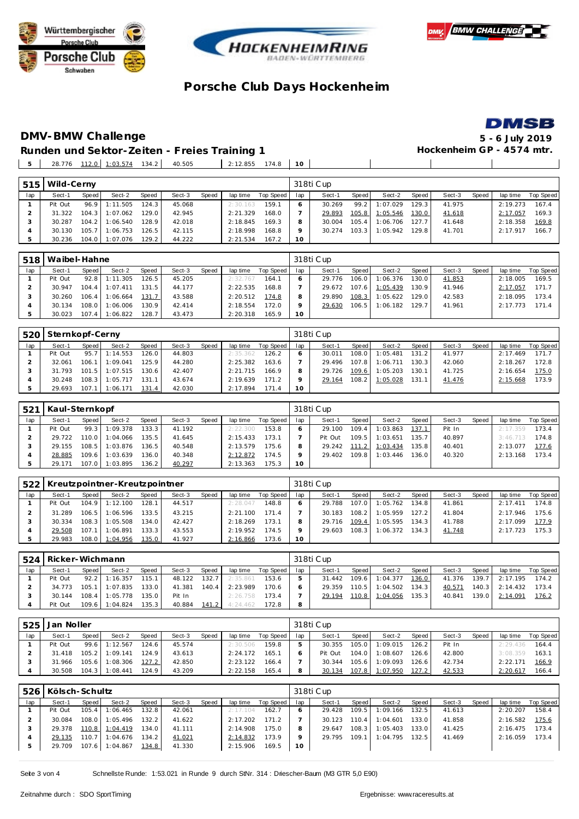







#### **DMV-BMW Challenge 5 - 6 July 2019** Runden und Sektor-Zeiten - Freies Training 1 **Behannen auch der Freies Training 1 Hockenheim GP** - 4574 mtr. 28.776 112.0 1:03.574 134.2 40.505 2:12.855 174.8 **10**

| 515 | Wild-Cerny |       |          |       |        |       |          |           |                 | 318ti Cup |       |          |        |        |       |          |           |
|-----|------------|-------|----------|-------|--------|-------|----------|-----------|-----------------|-----------|-------|----------|--------|--------|-------|----------|-----------|
| lap | Sect-1     | Speed | Sect-2   | Speed | Sect-3 | Speed | lap time | Top Speed | lap             | Sect-1    | Speed | Sect-2   | Speed  | Sect-3 | Speed | lap time | Top Speed |
|     | Pit Out    | 96.9  | 1:11.505 | 124.3 | 45.068 |       | 2:30.163 | 159.1     |                 | 30.269    | 99.2  | 1:07.029 | 129.31 | 41.975 |       | 2:19.273 | 167.4     |
|     | 31.322     | 104.3 | 1:07.062 | 129.0 | 42.945 |       | 2:21.329 | 168.0     |                 | 29.893    | 105.8 | 1:05.546 | 130.0  | 41.618 |       | 2:17.057 | 169.3     |
|     | 30.287     | 104.2 | 1:06.540 | 128.9 | 42.018 |       | 2:18.845 | 169.3     |                 | 30.004    | 105.4 | 1:06.706 | 127.7  | 41.648 |       | 2:18.358 | 169.8     |
|     | 30.130     | 105.7 | 1:06.753 | 126.5 | 42.115 |       | 2:18.998 | 168.8     |                 | 30.274    | 103.3 | 1:05.942 | 129.8  | 41.701 |       | 2:17.917 | 166.7     |
|     | 30.236     | 104.0 | 1:07.076 | 129.2 | 44.222 |       | 2:21.534 | 167.2     | 10 <sup>°</sup> |           |       |          |        |        |       |          |           |

| 518 | Waibel-Hahne |       |          |              |        |       |          |           |     | 318ti Cup |       |          |                    |        |       |          |           |
|-----|--------------|-------|----------|--------------|--------|-------|----------|-----------|-----|-----------|-------|----------|--------------------|--------|-------|----------|-----------|
| lap | Sect-1       | Speed | Sect-2   | <b>Speed</b> | Sect-3 | Speed | lap time | Top Speed | lap | Sect-1    | Speed | Sect-2   | Speed              | Sect-3 | Speed | lap time | Top Speed |
|     | Pit Out      | 92.8  | 1:11.305 | 126.5        | 45.205 |       | 2:32.767 | 164.1     |     | 29.776    | 106.0 | 1:06.376 | 130.0              | 41.853 |       | 2:18.005 | 169.5     |
|     | 30.947       | 104.4 | 1:07.411 | 131.5        | 44.177 |       | 2:22.535 | 168.8     |     | 29.672    | 107.6 | 1:05.439 | 130.9              | 41.946 |       | 2:17.057 | 171.7     |
|     | 30.260       | 106.4 | 1:06.664 | 131.7        | 43.588 |       | 2:20.512 | 174.8     |     | 29.890    | 108.3 | 1:05.622 | 129.0              | 42.583 |       | 2:18.095 | 173.4     |
|     | 30.134       | 108.0 | 1:06.006 | 130.9        | 42.414 |       | 2:18.554 | 172.0     |     | 29.630    | 106.5 | 1:06.182 | 129.7 <sub>1</sub> | 41.961 |       | 2:17.773 | 171.4     |
|     | 30.023       | 107.4 | 1:06.822 | 128.7        | 43.473 |       | 2:20.318 | 165.9     | 10  |           |       |          |                    |        |       |          |           |

| 520 | Sternkopf-Cerny |       |          |       |        |       |          |           |     | 318ti Cup |       |          |       |        |       |          |           |
|-----|-----------------|-------|----------|-------|--------|-------|----------|-----------|-----|-----------|-------|----------|-------|--------|-------|----------|-----------|
| lap | Sect-1          | Speed | Sect-2   | Speed | Sect-3 | Speed | lap time | Top Speed | lap | Sect-1    | Speed | Sect-2   | Speed | Sect-3 | Speed | lap time | Top Speed |
|     | Pit Out         | 95.7  | : 14.553 | 126.0 | 44.803 |       | 2:35.362 | 126.2     |     | 30.011    | 108.0 | 1:05.481 | 131.2 | 41.977 |       | 2:17.469 | 171.7     |
|     | 32.061          | 106.1 | 1:09.041 | 125.9 | 44.280 |       | 2:25.382 | 163.6     |     | 29.496    | 107.8 | 1:06.711 | 130.3 | 42.060 |       | 2:18.267 | 172.8     |
|     | 31.793          | 101.5 | 1:07.515 | 130.6 | 42.407 |       | 2:21.715 | 166.9     |     | 29.726    | 109.6 | 1:05.203 | 130.1 | 41.725 |       | 2:16.654 | 175.0     |
|     | 30.248          | 108.3 | :05.717  | 131.1 | 43.674 |       | 2:19.639 | 171.2     |     | 29.164    | 108.2 | 1:05.028 | 131.1 | 41.476 |       | 2:15.668 | 173.9     |
|     | 29.693          | 107.1 | :06.171  | 131.4 | 42.030 |       | 2:17.894 | 171.4     | 10  |           |       |          |       |        |       |          |           |

| 521 | Kaul-Sternkopf |       |                |       |        |       |          |           |                 | 318ti Cup |       |          |                    |        |       |          |           |
|-----|----------------|-------|----------------|-------|--------|-------|----------|-----------|-----------------|-----------|-------|----------|--------------------|--------|-------|----------|-----------|
| lap | Sect-1         | Speed | Sect-2         | Speed | Sect-3 | Speed | lap time | Top Speed | lap             | Sect-1    | Speed | Sect-2   | Speed I            | Sect-3 | Speed | lap time | Top Speed |
|     | Pit Out        | 99.3  | 1:09.378       | 133.3 | 41.192 |       | 2:22.300 | 153.8     |                 | 29.100    | 109.4 | 1:03.863 | 137.1              | Pit In |       | 2:17.359 | 173.4     |
|     | 29.722         |       | 110.0 1:04.066 | 135.5 | 41.645 |       | 2:15.433 | 173.1     |                 | Pit Out   | 109.5 | 1:03.651 | 135.7 <sub>1</sub> | 40.897 |       | 3:46.713 | 174.8     |
|     | 29.155         |       | 108.5 1:03.876 | 136.5 | 40.548 |       | 2:13.579 | 175.6     |                 | 29.242    | 111.2 | 1:03.434 | 135.8              | 40.401 |       | 2:13.077 | 177.6     |
|     | 28.885         |       | 109.6 1:03.639 | 136.0 | 40.348 |       | 2:12.872 | 174.5     |                 | 29.402    | 109.8 | 1:03.446 | 136.0              | 40.320 |       | 2:13.168 | 173.4     |
|     | 29.171         |       | 107.0 1:03.895 | 136.2 | 40.297 |       | 2:13.363 | 175.3     | 10 <sup>°</sup> |           |       |          |                    |        |       |          |           |

| 522 |        | Kreutzpointner-Kreutzpointner<br>Speed<br>Speed<br>Speed I<br>Sect-3<br>Sect-2<br>Sect-1<br>lap time<br>104.9 1:12.100<br>128.1<br>Pit Out<br>44.517<br>2:28.047<br>$106.5$ 1:06.596<br>133.5<br>43.215<br>31.289<br>2:21.100 |                |       |        |  |          |           |     | 318ti Cup |         |          |       |        |       |          |           |
|-----|--------|-------------------------------------------------------------------------------------------------------------------------------------------------------------------------------------------------------------------------------|----------------|-------|--------|--|----------|-----------|-----|-----------|---------|----------|-------|--------|-------|----------|-----------|
| lap |        |                                                                                                                                                                                                                               |                |       |        |  |          | Top Speed | lap | Sect-1    | Speed I | Sect-2   | Speed | Sect-3 | Speed | lap time | Top Speed |
|     |        |                                                                                                                                                                                                                               |                |       |        |  |          | 148.8     |     | 29.788    | 107.0   | 1:05.762 | 134.8 | 41.861 |       | 2:17.411 | 174.8     |
|     |        |                                                                                                                                                                                                                               |                |       |        |  |          | 171.4     |     | 30.183    | 108.2   | 1:05.959 | 127.2 | 41.804 |       | 2:17.946 | 175.6     |
|     | 30.334 |                                                                                                                                                                                                                               | 108.3 1:05.508 | 134.0 | 42.427 |  | 2:18.269 | 173.1     |     | 29.716    | 109.4   | 1:05.595 | 134.3 | 41.788 |       | 2:17.099 | 177.9     |
|     | 29.508 |                                                                                                                                                                                                                               | 107.1 1:06.891 | 133.3 | 43.553 |  | 2:19.952 | 174.5     |     | 29.603    | 108.3   | 1:06.372 | 134.3 | 41.748 |       | 2:17.723 | 175.3     |
|     | 29.983 |                                                                                                                                                                                                                               | 108.0 1:04.956 | 135.0 | 41.927 |  | 2:16.866 | 173.6     | 10  |           |         |          |       |        |       |          |           |

|     | 524   Ricker-Wichmann |       |                  |       |        |       |          |           |     | 318ti Cup |       |          |       |        |       |          |           |
|-----|-----------------------|-------|------------------|-------|--------|-------|----------|-----------|-----|-----------|-------|----------|-------|--------|-------|----------|-----------|
| lap | Sect-1                | Speed | Sect-2           | Speed | Sect-3 | Speed | lap time | Top Speed | lap | Sect-1    | Speed | Sect-2   | Speed | Sect-3 | Speed | lap time | Top Speed |
|     | Pit Out               |       | $92.2$ 1:16.357  | 115.1 | 48.122 | 132.7 | 2:35.861 | 153.6     |     | 31.442    | 109.6 | 1:04.377 | 136.0 | 41.376 | 139.7 | 2:17.195 | 174.2     |
|     | 34.773                |       | 105.1 1:07.835   | 133.0 | 41.381 | 140.4 | 2:23.989 | 170.6     |     | 29.359    | 110.5 | 1:04.502 | 134.3 | 40.571 | 140.3 | 2:14.432 | 173.4     |
|     | 30.144                |       | 108.4 1:05.778   | 135.0 | Pit In |       | 2:26.758 | 173.4     |     | 29.194    | 110.8 | 1:04.056 | 135.3 | 40.841 | 139.0 | 2:14.091 | 176.2     |
|     | Pit Out               |       | $109.6$ 1:04.824 | 135.3 | 40.884 | 141.2 | 4:24.462 | 172.8     | 8   |           |       |          |       |        |       |          |           |

|     | 525 Jan Noller |       |          |       |        |       |          |           |     | 318ti Cup |         |          |                    |        |       |          |           |  |  |
|-----|----------------|-------|----------|-------|--------|-------|----------|-----------|-----|-----------|---------|----------|--------------------|--------|-------|----------|-----------|--|--|
| lap | Sect-1         | Speed | Sect-2   | Speed | Sect-3 | Speed | lap time | Top Speed | lap | Sect-1    | Speed   | Sect-2   | Speed              | Sect-3 | Speed | lap time | Top Speed |  |  |
|     | Pit Out        | 99.6  | 1:12.567 | 124.6 | 45.574 |       | 2:30.506 | 159.8     |     | 30.355    | 105.0   | 1:09.015 | 126.2              | Pit In |       | 2:29.436 | 164.4     |  |  |
|     | 31.418         | 105.2 | 1:09.141 | 124.9 | 43.613 |       | 2:24.172 | 165.1     |     | Pit Out   | 104.0   | 1:08.607 | 126.6 <sub>1</sub> | 42.800 |       | 3:08.359 | 163.1     |  |  |
|     | 31.966         | 105.6 | 1:08.306 | 127.2 | 42.850 |       | 2:23.122 | 166.4     |     | 30.344    | $105.6$ | 1:09.093 | 126.6              | 42.734 |       | 2:22.171 | 166.9     |  |  |
|     | 30.508         | 104.3 | 1:08.441 | 124.9 | 43.209 |       | 2:22.158 | 165.4     | 8   | 30.134    | 107.8   | 1:07.950 | 127.2              | 42.533 |       | 2:20.617 | 166.4     |  |  |

|     | 526   Kölsch-Schultz |         |                |       |        |       |          |           |     | 318ti Cup |       |          |       |        |       |          |           |  |  |
|-----|----------------------|---------|----------------|-------|--------|-------|----------|-----------|-----|-----------|-------|----------|-------|--------|-------|----------|-----------|--|--|
| lap | Sect-1               | Speed   | Sect-2         | Speed | Sect-3 | Speed | lap time | Top Speed | lap | Sect-1    | Speed | Sect-2   | Speed | Sect-3 | Speed | lap time | Top Speed |  |  |
|     | Pit Out              | $105.4$ | 1:06.465       | 132.8 | 42.061 |       | 2:17.104 | 162.7     |     | 29.428    | 109.5 | 1:09.166 | 132.5 | 41.613 |       | 2:20.207 | 158.4     |  |  |
|     | 30.084               |         | 108.0 1:05.496 | 132.2 | 41.622 |       | 2:17.202 | 171.2     |     | 30.123    | 110.4 | 1:04.601 | 133.0 | 41.858 |       | 2:16.582 | 175.6     |  |  |
|     | 29.378               |         | 110.8 1:04.419 | 134.0 | 41.111 |       | 2:14.908 | 175.0     |     | 29.647    | 108.3 | 1:05.403 | 133.0 | 41.425 |       | 2:16.475 | 173.4     |  |  |
|     | 29.135               |         | 110.7 1:04.676 | 134.2 | 41.021 |       | 2:14.832 | 173.9     |     | 29.795    | 109.1 | 1:04.795 | 132.5 | 41.469 |       | 2:16.059 | 173.4     |  |  |
|     | 29.709               |         | 107.6 1:04.867 | 134.8 | 41.330 |       | 2:15.906 | 169.5     | 10  |           |       |          |       |        |       |          |           |  |  |

Seite 3 von 4 Schnellste Runde: 1:53.021 in Runde 9 durch StNr. 314 : Driescher-Baum (M3 GTR 5,0 E90)